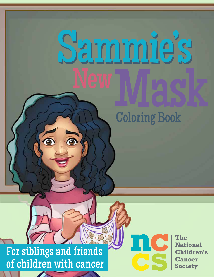## <u>ie</u>

**Coloring Book** 

For siblings and friends of children with cancer

 $\overline{\mathbf{e}}$ 

 $\overline{\mathbf{e}}$ 

The **National Children's Cancer Society**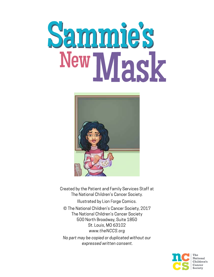## Sammie's New Mask



Created by the Patient and Family Services Staff at The National Children's Cancer Society. Illustrated by Lion Forge Comics. © The National Children's Cancer Society, 2017 The National Children's Cancer Society 500 North Broadway, Suite 1850 St. Louis, MO 63102 www.theNCCS.org No part may be copied or duplicated without our expressed written consent.

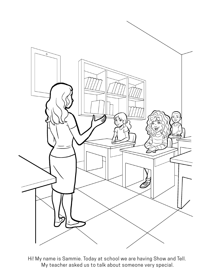

Hi! My name is Sammie. Today at school we are having Show and Tell. My teacher asked us to talk about someone very special.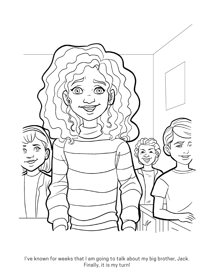

I've known for weeks that I am going to talk about my big brother, Jack. Finally, it is my turn!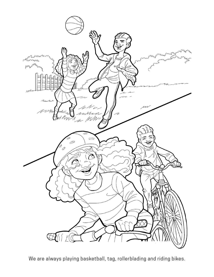

We are always playing basketball, tag, rollerblading and riding bikes.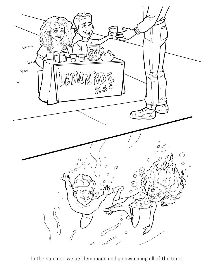

In the summer, we sell lemonade and go swimming all of the time.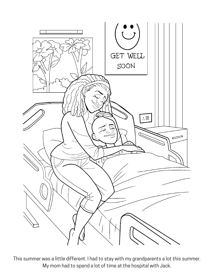

This summer was a little different. I had to stay with my grandparents a lot this summer. My mom had to spend a lot of time at the hospital with Jack.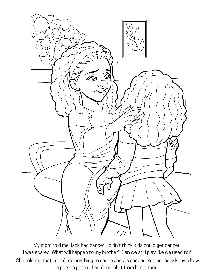

My mom told me Jack had cancer. I didn't think kids could get cancer. I was scared. What will happen to my brother? Can we still play like we used to? She told me that I didn't do anything to cause Jack' s cancer. No one really knows how a person gets it. I can't catch it from him either.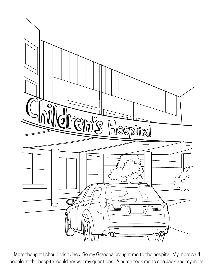

Mom thought I should visit Jack. So my Grandpa brought me to the hospital. My mom said people at the hospital could answer my questions. A nurse took me to see Jack and my mom.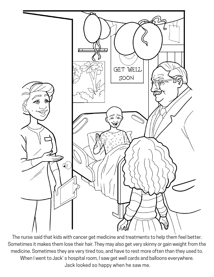

The nurse said that kids with cancer get medicine and treatments to help them feel better. Sometimes it makes them lose their hair. They may also get very skinny or gain weight from the medicine. Sometimes they are very tired too, and have to rest more often than they used to. When I went to Jack' s hospital room, I saw get well cards and balloons everywhere. Jack looked so happy when he saw me.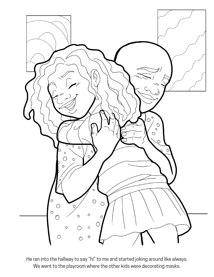

He ran into the hallway to say "hi" to me and started joking around like always. We went to the playroom where the other kids were decorating masks.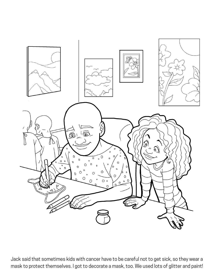

Jack said that sometimes kids with cancer have to be careful not to get sick, so they wear a mask to protect themselves. I got to decorate a mask, too. We used lots of glitter and paint!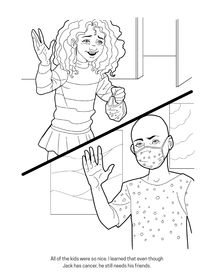

All of the kids were so nice. I learned that even though Jack has cancer, he still needs his friends.